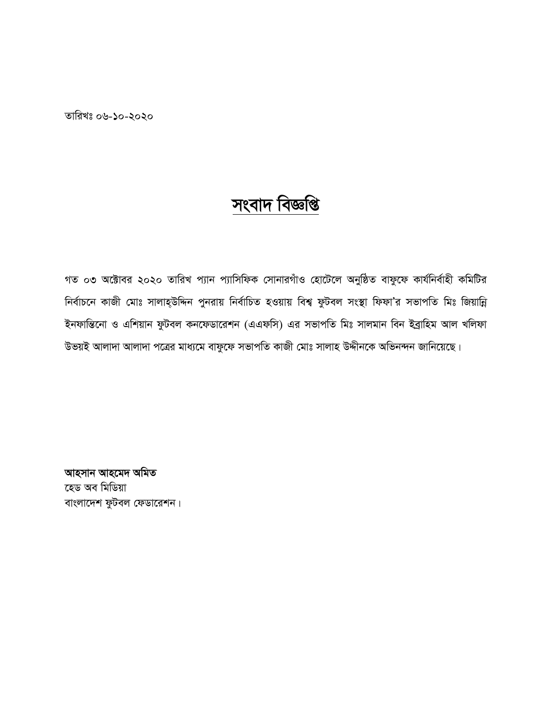তারিখঃ ০৬-১০-২০২০

## সংবাদ বিৰ্জ্ঞপ্তি

গত ০৩ অক্টোবর ২০২০ তারিখ প্যান প্যাসিফিক সোনারগাঁও হোটেলে অনুষ্ঠিত বাফুফে কার্যনির্বাহী কমিটির নির্বাচনে কাজী মোঃ সালাহ্উদ্দিন পুনরায় নির্বাচিত হওয়ায় বিশ্ব ফুটবল সংস্থা ফিফা'র সভাপতি মিঃ জিয়ান্নি ইনফান্তিনো ও এশিয়ান ফুটবল কনফেডারেশন (এএফসি) এর সভাপতি মিঃ সালমান বিন ইব্রাহিম আল খলিফা উভয়ই আলাদা আলাদা পত্রের মাধ্যমে বাফুফে সভাপতি কাজী মোঃ সালাহ উদ্দীনকে অভিনন্দন জানিয়েছে।

আহসান আহমেদ অমিত হেড অব মিডিয়া বাংলাদেশ ফুটবল ফেডারেশন।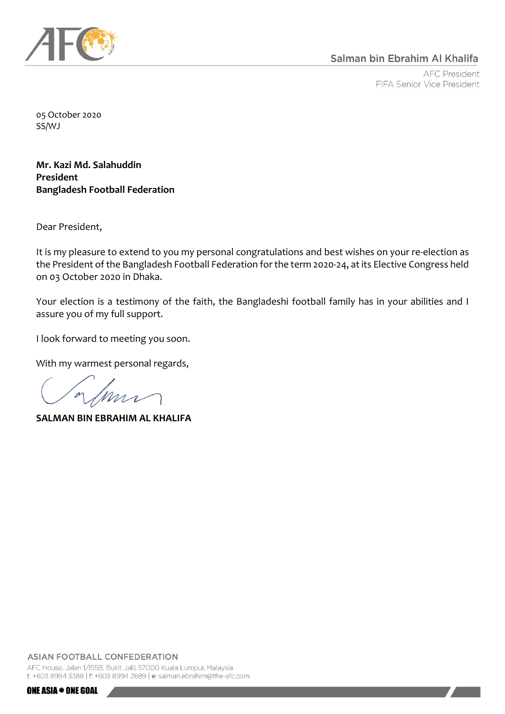

**AFC President** FIFA Senior Vice President

05 October 2020 SS/WJ

**Mr. Kazi Md. Salahuddin President Bangladesh Football Federation**

Dear President,

It is my pleasure to extend to you my personal congratulations and best wishes on your re-election as the President of the Bangladesh Football Federation for the term 2020-24, at its Elective Congress held on 03 October 2020 in Dhaka.

Your election is a testimony of the faith, the Bangladeshi football family has in your abilities and I assure you of my full support.

I look forward to meeting you soon.

With my warmest personal regards,

 $\overline{\mathcal{L}}$ 

**SALMAN BIN EBRAHIM AL KHALIFA**

AFC House, Jalan 1/155B, Bukit Jalil, 57000 Kuala Lumpur, Malaysia t: +603 8994 3388 | f: +603 8994 2689 | e: salman.ebrahim@the-afc.com